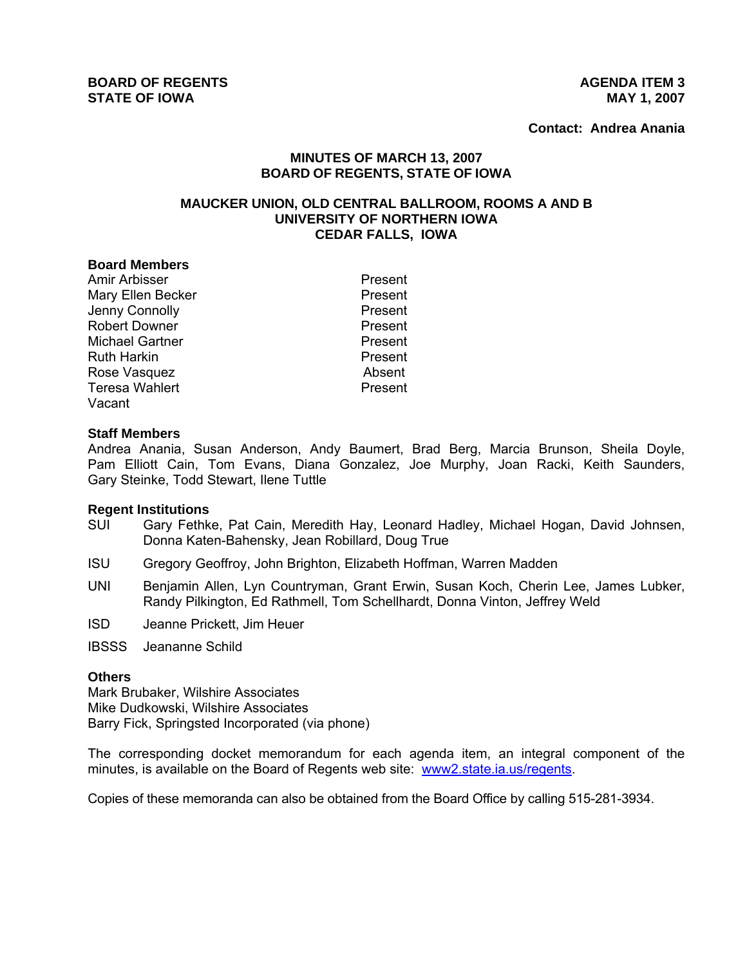**Contact: Andrea Anania**

## **MINUTES OF MARCH 13, 2007 BOARD OF REGENTS, STATE OF IOWA**

#### **MAUCKER UNION, OLD CENTRAL BALLROOM, ROOMS A AND B UNIVERSITY OF NORTHERN IOWA CEDAR FALLS, IOWA**

#### **Board Members**

Amir Arbisser **Present** Mary Ellen Becker **Present** Jenny Connolly **Present** Robert Downer **Present** Michael Gartner **Present** Ruth Harkin **Present** Rose Vasquez **Absent** Teresa Wahlert **Present** Vacant

#### **Staff Members**

Andrea Anania, Susan Anderson, Andy Baumert, Brad Berg, Marcia Brunson, Sheila Doyle, Pam Elliott Cain, Tom Evans, Diana Gonzalez, Joe Murphy, Joan Racki, Keith Saunders, Gary Steinke, Todd Stewart, Ilene Tuttle

#### **Regent Institutions**

- SUI Gary Fethke, Pat Cain, Meredith Hay, Leonard Hadley, Michael Hogan, David Johnsen, Donna Katen-Bahensky, Jean Robillard, Doug True
- ISU Gregory Geoffroy, John Brighton, Elizabeth Hoffman, Warren Madden
- UNI Benjamin Allen, Lyn Countryman, Grant Erwin, Susan Koch, Cherin Lee, James Lubker, Randy Pilkington, Ed Rathmell, Tom Schellhardt, Donna Vinton, Jeffrey Weld
- ISD Jeanne Prickett, Jim Heuer

IBSSS Jeananne Schild

#### **Others**

Mark Brubaker, Wilshire Associates Mike Dudkowski, Wilshire Associates Barry Fick, Springsted Incorporated (via phone)

The corresponding docket memorandum for each agenda item, an integral component of the minutes, is available on the Board of Regents web site: www2.state.ia.us/regents.

Copies of these memoranda can also be obtained from the Board Office by calling 515-281-3934.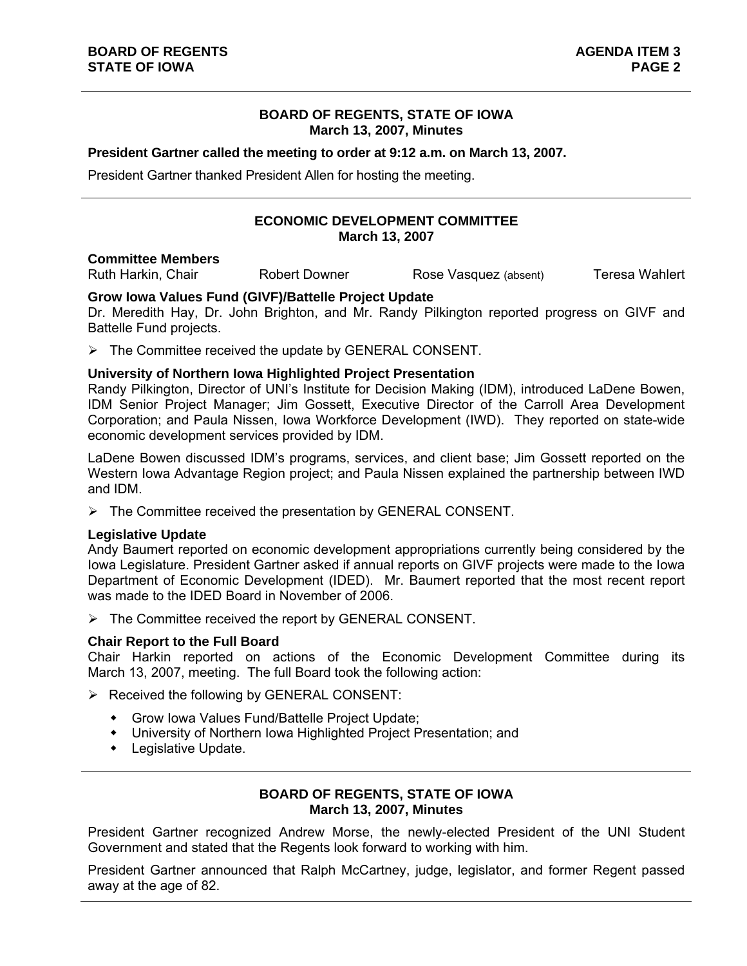## **BOARD OF REGENTS, STATE OF IOWA March 13, 2007, Minutes**

#### **President Gartner called the meeting to order at 9:12 a.m. on March 13, 2007.**

President Gartner thanked President Allen for hosting the meeting.

# **ECONOMIC DEVELOPMENT COMMITTEE March 13, 2007**

#### **Committee Members**

Ruth Harkin, Chair **Robert Downer** Rose Vasquez (absent) **Teresa Wahlert** 

### **Grow Iowa Values Fund (GIVF)/Battelle Project Update**

Dr. Meredith Hay, Dr. John Brighton, and Mr. Randy Pilkington reported progress on GIVF and Battelle Fund projects.

 $\triangleright$  The Committee received the update by GENERAL CONSENT.

#### **University of Northern Iowa Highlighted Project Presentation**

Randy Pilkington, Director of UNI's Institute for Decision Making (IDM), introduced LaDene Bowen, IDM Senior Project Manager; Jim Gossett, Executive Director of the Carroll Area Development Corporation; and Paula Nissen, Iowa Workforce Development (IWD). They reported on state-wide economic development services provided by IDM.

LaDene Bowen discussed IDM's programs, services, and client base; Jim Gossett reported on the Western Iowa Advantage Region project; and Paula Nissen explained the partnership between IWD and IDM.

 $\triangleright$  The Committee received the presentation by GENERAL CONSENT.

### **Legislative Update**

Andy Baumert reported on economic development appropriations currently being considered by the Iowa Legislature. President Gartner asked if annual reports on GIVF projects were made to the Iowa Department of Economic Development (IDED). Mr. Baumert reported that the most recent report was made to the IDED Board in November of 2006.

 $\triangleright$  The Committee received the report by GENERAL CONSENT.

### **Chair Report to the Full Board**

Chair Harkin reported on actions of the Economic Development Committee during its March 13, 2007, meeting. The full Board took the following action:

- $\triangleright$  Received the following by GENERAL CONSENT:
	- Grow Iowa Values Fund/Battelle Project Update;
	- University of Northern Iowa Highlighted Project Presentation; and
	- Legislative Update.

## **BOARD OF REGENTS, STATE OF IOWA March 13, 2007, Minutes**

President Gartner recognized Andrew Morse, the newly-elected President of the UNI Student Government and stated that the Regents look forward to working with him.

President Gartner announced that Ralph McCartney, judge, legislator, and former Regent passed away at the age of 82.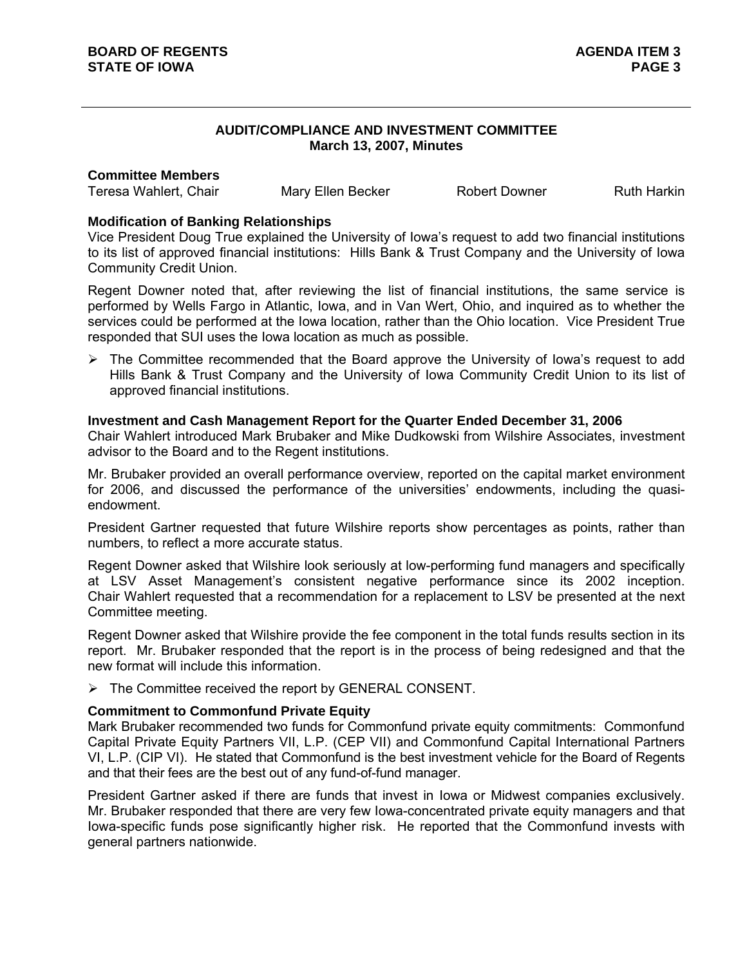## **AUDIT/COMPLIANCE AND INVESTMENT COMMITTEE March 13, 2007, Minutes**

#### **Committee Members**

Teresa Wahlert, Chair **Mary Ellen Becker** Robert Downer Ruth Harkin

## **Modification of Banking Relationships**

Vice President Doug True explained the University of Iowa's request to add two financial institutions to its list of approved financial institutions: Hills Bank & Trust Company and the University of Iowa Community Credit Union.

Regent Downer noted that, after reviewing the list of financial institutions, the same service is performed by Wells Fargo in Atlantic, Iowa, and in Van Wert, Ohio, and inquired as to whether the services could be performed at the Iowa location, rather than the Ohio location. Vice President True responded that SUI uses the Iowa location as much as possible.

 $\triangleright$  The Committee recommended that the Board approve the University of Iowa's request to add Hills Bank & Trust Company and the University of Iowa Community Credit Union to its list of approved financial institutions.

## **Investment and Cash Management Report for the Quarter Ended December 31, 2006**

Chair Wahlert introduced Mark Brubaker and Mike Dudkowski from Wilshire Associates, investment advisor to the Board and to the Regent institutions.

Mr. Brubaker provided an overall performance overview, reported on the capital market environment for 2006, and discussed the performance of the universities' endowments, including the quasiendowment.

President Gartner requested that future Wilshire reports show percentages as points, rather than numbers, to reflect a more accurate status.

Regent Downer asked that Wilshire look seriously at low-performing fund managers and specifically at LSV Asset Management's consistent negative performance since its 2002 inception. Chair Wahlert requested that a recommendation for a replacement to LSV be presented at the next Committee meeting.

Regent Downer asked that Wilshire provide the fee component in the total funds results section in its report. Mr. Brubaker responded that the report is in the process of being redesigned and that the new format will include this information.

 $\triangleright$  The Committee received the report by GENERAL CONSENT.

# **Commitment to Commonfund Private Equity**

Mark Brubaker recommended two funds for Commonfund private equity commitments: Commonfund Capital Private Equity Partners VII, L.P. (CEP VII) and Commonfund Capital International Partners VI, L.P. (CIP VI). He stated that Commonfund is the best investment vehicle for the Board of Regents and that their fees are the best out of any fund-of-fund manager.

President Gartner asked if there are funds that invest in Iowa or Midwest companies exclusively. Mr. Brubaker responded that there are very few Iowa-concentrated private equity managers and that Iowa-specific funds pose significantly higher risk. He reported that the Commonfund invests with general partners nationwide.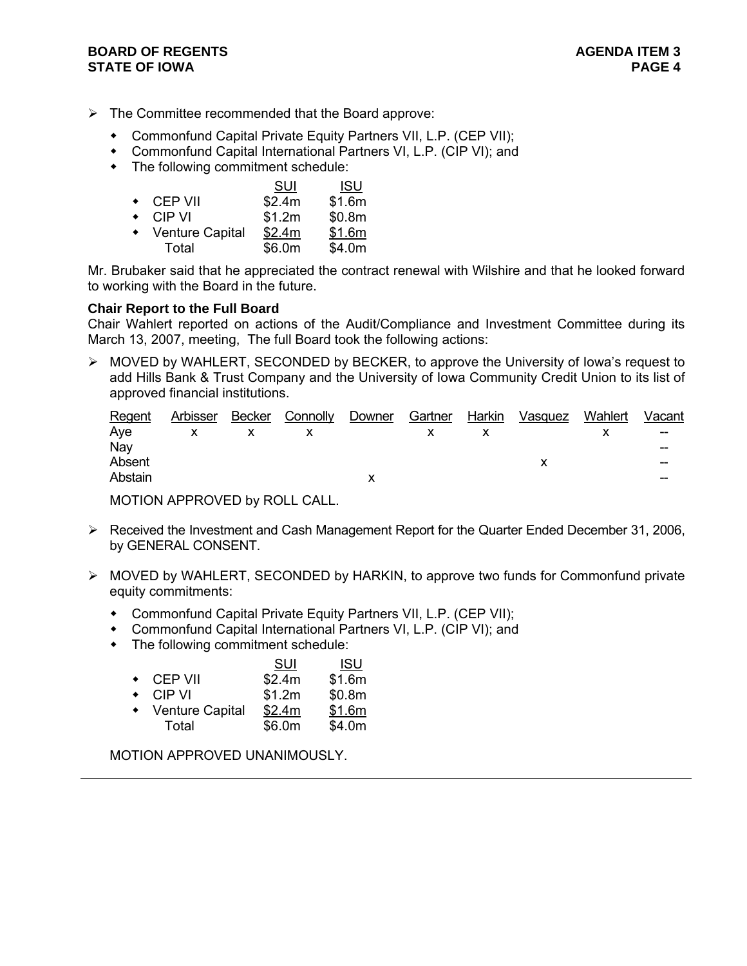- $\triangleright$  The Committee recommended that the Board approve:
	- Commonfund Capital Private Equity Partners VII, L.P. (CEP VII);
	- Commonfund Capital International Partners VI, L.P. (CIP VI); and
	- The following commitment schedule:

|           |                        | SUI    | <b>ISU</b> |
|-----------|------------------------|--------|------------|
| $\bullet$ | CEP VII                | \$2.4m | \$1.6m     |
| $\bullet$ | CIP VI                 | \$1.2m | \$0.8m     |
| $\bullet$ | <b>Venture Capital</b> | \$2.4m | \$1.6m     |
|           | Total                  | \$6.0m | \$4.0m     |

Mr. Brubaker said that he appreciated the contract renewal with Wilshire and that he looked forward to working with the Board in the future.

## **Chair Report to the Full Board**

Chair Wahlert reported on actions of the Audit/Compliance and Investment Committee during its March 13, 2007, meeting, The full Board took the following actions:

¾ MOVED by WAHLERT, SECONDED by BECKER, to approve the University of Iowa's request to add Hills Bank & Trust Company and the University of Iowa Community Credit Union to its list of approved financial institutions.

| Regent  | Arbisser     | Becker Connolly Downer | Gartner Harkin | Vasquez | Wahlert | Vacant                   |
|---------|--------------|------------------------|----------------|---------|---------|--------------------------|
| Ave     | $\mathsf{X}$ |                        |                |         |         | $\overline{\phantom{a}}$ |
| Nav     |              |                        |                |         |         | --                       |
| Absent  |              |                        |                |         |         | --                       |
| Abstain |              |                        |                |         |         | --                       |
|         |              |                        |                |         |         |                          |

MOTION APPROVED by ROLL CALL.

- ¾ Received the Investment and Cash Management Report for the Quarter Ended December 31, 2006, by GENERAL CONSENT.
- ¾ MOVED by WAHLERT, SECONDED by HARKIN, to approve two funds for Commonfund private equity commitments:
	- Commonfund Capital Private Equity Partners VII, L.P. (CEP VII);
	- Commonfund Capital International Partners VI, L.P. (CIP VI); and
	- The following commitment schedule:

|           |                        | SUI    | <b>ISU</b> |
|-----------|------------------------|--------|------------|
| $\bullet$ | CEP VII                | \$2.4m | \$1.6m     |
| $\bullet$ | CIP VI                 | \$1.2m | \$0.8m     |
|           | <b>Venture Capital</b> | \$2.4m | \$1.6m     |
|           | Total                  | \$6.0m | \$4.0m     |

MOTION APPROVED UNANIMOUSLY.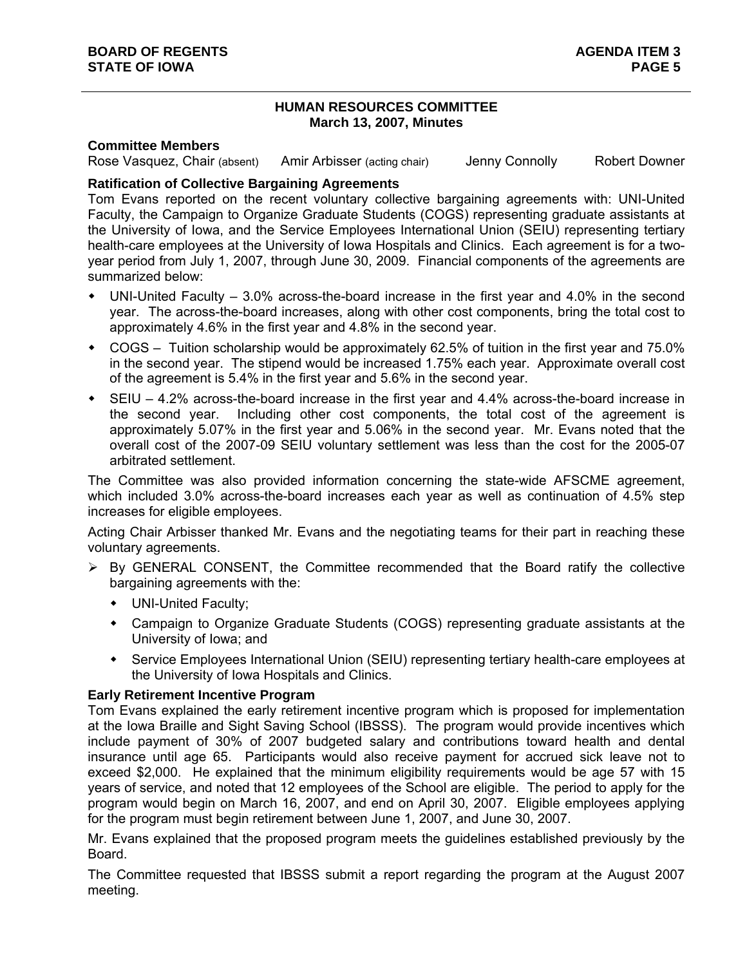## **HUMAN RESOURCES COMMITTEE March 13, 2007, Minutes**

#### **Committee Members**

Rose Vasquez, Chair (absent) Amir Arbisser (acting chair) Jenny Connolly Robert Downer

## **Ratification of Collective Bargaining Agreements**

Tom Evans reported on the recent voluntary collective bargaining agreements with: UNI-United Faculty, the Campaign to Organize Graduate Students (COGS) representing graduate assistants at the University of Iowa, and the Service Employees International Union (SEIU) representing tertiary health-care employees at the University of Iowa Hospitals and Clinics. Each agreement is for a twoyear period from July 1, 2007, through June 30, 2009. Financial components of the agreements are summarized below:

- UNI-United Faculty 3.0% across-the-board increase in the first year and 4.0% in the second year. The across-the-board increases, along with other cost components, bring the total cost to approximately 4.6% in the first year and 4.8% in the second year.
- COGS Tuition scholarship would be approximately 62.5% of tuition in the first year and 75.0% in the second year. The stipend would be increased 1.75% each year. Approximate overall cost of the agreement is 5.4% in the first year and 5.6% in the second year.
- SEIU 4.2% across-the-board increase in the first year and 4.4% across-the-board increase in the second year. Including other cost components, the total cost of the agreement is approximately 5.07% in the first year and 5.06% in the second year. Mr. Evans noted that the overall cost of the 2007-09 SEIU voluntary settlement was less than the cost for the 2005-07 arbitrated settlement.

The Committee was also provided information concerning the state-wide AFSCME agreement, which included 3.0% across-the-board increases each year as well as continuation of 4.5% step increases for eligible employees.

Acting Chair Arbisser thanked Mr. Evans and the negotiating teams for their part in reaching these voluntary agreements.

- $\triangleright$  By GENERAL CONSENT, the Committee recommended that the Board ratify the collective bargaining agreements with the:
	- UNI-United Faculty;
	- Campaign to Organize Graduate Students (COGS) representing graduate assistants at the University of Iowa; and
	- Service Employees International Union (SEIU) representing tertiary health-care employees at the University of Iowa Hospitals and Clinics.

### **Early Retirement Incentive Program**

Tom Evans explained the early retirement incentive program which is proposed for implementation at the Iowa Braille and Sight Saving School (IBSSS). The program would provide incentives which include payment of 30% of 2007 budgeted salary and contributions toward health and dental insurance until age 65. Participants would also receive payment for accrued sick leave not to exceed \$2,000. He explained that the minimum eligibility requirements would be age 57 with 15 years of service, and noted that 12 employees of the School are eligible. The period to apply for the program would begin on March 16, 2007, and end on April 30, 2007. Eligible employees applying for the program must begin retirement between June 1, 2007, and June 30, 2007.

Mr. Evans explained that the proposed program meets the guidelines established previously by the Board.

The Committee requested that IBSSS submit a report regarding the program at the August 2007 meeting.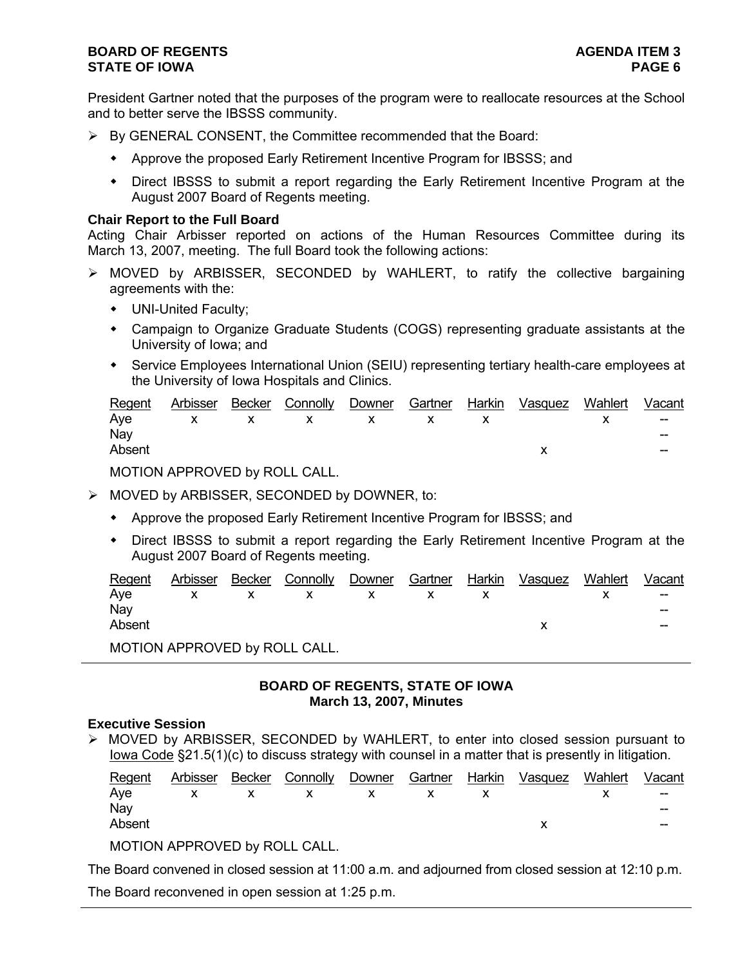# **BOARD OF REGENTS AGENTS** AGENDA ITEM 3 **STATE OF IOWA** PAGE 6 **PAGE 6**

President Gartner noted that the purposes of the program were to reallocate resources at the School and to better serve the IBSSS community.

- $\triangleright$  By GENERAL CONSENT, the Committee recommended that the Board:
	- Approve the proposed Early Retirement Incentive Program for IBSSS; and
	- Direct IBSSS to submit a report regarding the Early Retirement Incentive Program at the August 2007 Board of Regents meeting.

#### **Chair Report to the Full Board**

Acting Chair Arbisser reported on actions of the Human Resources Committee during its March 13, 2007, meeting. The full Board took the following actions:

- $\triangleright$  MOVED by ARBISSER, SECONDED by WAHLERT, to ratify the collective bargaining agreements with the:
	- UNI-United Faculty;
	- Campaign to Organize Graduate Students (COGS) representing graduate assistants at the University of Iowa; and
	- Service Employees International Union (SEIU) representing tertiary health-care employees at the University of Iowa Hospitals and Clinics.

|        |  |  |  | Regent Arbisser Becker Connolly Downer Gartner Harkin Vasquez Wahlert Vacant |     |
|--------|--|--|--|------------------------------------------------------------------------------|-----|
|        |  |  |  | Aye x x x x x x x x -                                                        |     |
| Nay    |  |  |  |                                                                              | --  |
| Absent |  |  |  |                                                                              | $-$ |
|        |  |  |  |                                                                              |     |

MOTION APPROVED by ROLL CALL.

¾ MOVED by ARBISSER, SECONDED by DOWNER, to:

- Approve the proposed Early Retirement Incentive Program for IBSSS; and
- Direct IBSSS to submit a report regarding the Early Retirement Incentive Program at the August 2007 Board of Regents meeting.

| Regent |                              |               |  | Arbisser Becker Connolly Downer Gartner Harkin Vasquez Wahlert | Vacant            |
|--------|------------------------------|---------------|--|----------------------------------------------------------------|-------------------|
| Aye    |                              | X X X X X X X |  |                                                                | $\hspace{0.05cm}$ |
| Nav    |                              |               |  |                                                                | --                |
| Absent |                              |               |  |                                                                | $- -$             |
|        | MOTOMI ADDONIPD L. DOLI QMII |               |  |                                                                |                   |

MOTION APPROVED by ROLL CALL.

## **BOARD OF REGENTS, STATE OF IOWA March 13, 2007, Minutes**

### **Executive Session**

¾ MOVED by ARBISSER, SECONDED by WAHLERT, to enter into closed session pursuant to Iowa Code §21.5(1)(c) to discuss strategy with counsel in a matter that is presently in litigation.

| Regent |                                                                                                                                                                                                                                                                    |  |  | Arbisser Becker Connolly Downer Gartner Harkin Vasquez Wahlert | Vacant            |
|--------|--------------------------------------------------------------------------------------------------------------------------------------------------------------------------------------------------------------------------------------------------------------------|--|--|----------------------------------------------------------------|-------------------|
|        |                                                                                                                                                                                                                                                                    |  |  | Aye x x x x x x x x                                            | $\hspace{0.05cm}$ |
| Nav    |                                                                                                                                                                                                                                                                    |  |  |                                                                | --                |
| Absent |                                                                                                                                                                                                                                                                    |  |  |                                                                | $- -$             |
|        | $1.00 - 0.11 - 0.00 - 0.00 - 0.00 - 0.00 - 0.00 - 0.00 - 0.00 - 0.00 - 0.00 - 0.00 - 0.00 - 0.00 - 0.00 - 0.00 - 0.00 - 0.00 - 0.00 - 0.00 - 0.00 - 0.00 - 0.00 - 0.00 - 0.00 - 0.00 - 0.00 - 0.00 - 0.00 - 0.00 - 0.00 - 0.00 - 0.00 - 0.00 - 0.00 - 0.00 - 0.00$ |  |  |                                                                |                   |

MOTION APPROVED by ROLL CALL.

The Board convened in closed session at 11:00 a.m. and adjourned from closed session at 12:10 p.m.

The Board reconvened in open session at 1:25 p.m.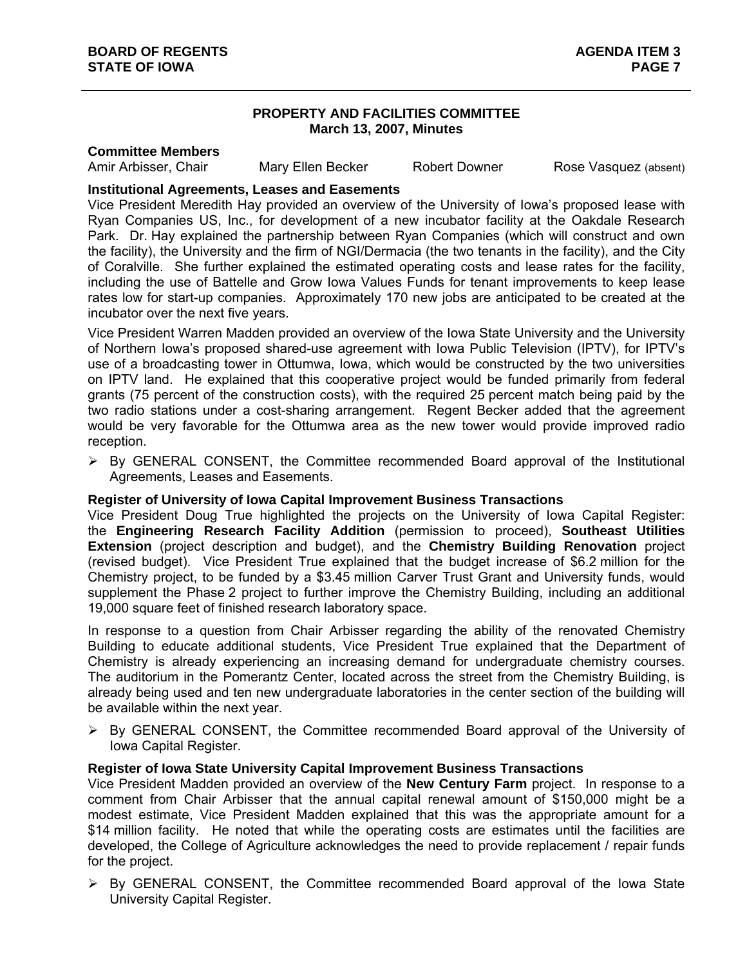## **PROPERTY AND FACILITIES COMMITTEE March 13, 2007, Minutes**

#### **Committee Members**

Amir Arbisser, Chair **Mary Ellen Becker** Robert Downer Rose Vasquez (absent)

## **Institutional Agreements, Leases and Easements**

Vice President Meredith Hay provided an overview of the University of Iowa's proposed lease with Ryan Companies US, Inc., for development of a new incubator facility at the Oakdale Research Park. Dr. Hay explained the partnership between Ryan Companies (which will construct and own the facility), the University and the firm of NGI/Dermacia (the two tenants in the facility), and the City of Coralville. She further explained the estimated operating costs and lease rates for the facility, including the use of Battelle and Grow Iowa Values Funds for tenant improvements to keep lease rates low for start-up companies. Approximately 170 new jobs are anticipated to be created at the incubator over the next five years.

Vice President Warren Madden provided an overview of the Iowa State University and the University of Northern Iowa's proposed shared-use agreement with Iowa Public Television (IPTV), for IPTV's use of a broadcasting tower in Ottumwa, Iowa, which would be constructed by the two universities on IPTV land. He explained that this cooperative project would be funded primarily from federal grants (75 percent of the construction costs), with the required 25 percent match being paid by the two radio stations under a cost-sharing arrangement. Regent Becker added that the agreement would be very favorable for the Ottumwa area as the new tower would provide improved radio reception.

 $\triangleright$  By GENERAL CONSENT, the Committee recommended Board approval of the Institutional Agreements, Leases and Easements.

### **Register of University of Iowa Capital Improvement Business Transactions**

Vice President Doug True highlighted the projects on the University of Iowa Capital Register: the **Engineering Research Facility Addition** (permission to proceed), **Southeast Utilities Extension** (project description and budget), and the **Chemistry Building Renovation** project (revised budget). Vice President True explained that the budget increase of \$6.2 million for the Chemistry project, to be funded by a \$3.45 million Carver Trust Grant and University funds, would supplement the Phase 2 project to further improve the Chemistry Building, including an additional 19,000 square feet of finished research laboratory space.

In response to a question from Chair Arbisser regarding the ability of the renovated Chemistry Building to educate additional students, Vice President True explained that the Department of Chemistry is already experiencing an increasing demand for undergraduate chemistry courses. The auditorium in the Pomerantz Center, located across the street from the Chemistry Building, is already being used and ten new undergraduate laboratories in the center section of the building will be available within the next year.

¾ By GENERAL CONSENT, the Committee recommended Board approval of the University of Iowa Capital Register.

### **Register of Iowa State University Capital Improvement Business Transactions**

Vice President Madden provided an overview of the **New Century Farm** project. In response to a comment from Chair Arbisser that the annual capital renewal amount of \$150,000 might be a modest estimate, Vice President Madden explained that this was the appropriate amount for a \$14 million facility. He noted that while the operating costs are estimates until the facilities are developed, the College of Agriculture acknowledges the need to provide replacement / repair funds for the project.

 $\triangleright$  By GENERAL CONSENT, the Committee recommended Board approval of the Iowa State University Capital Register.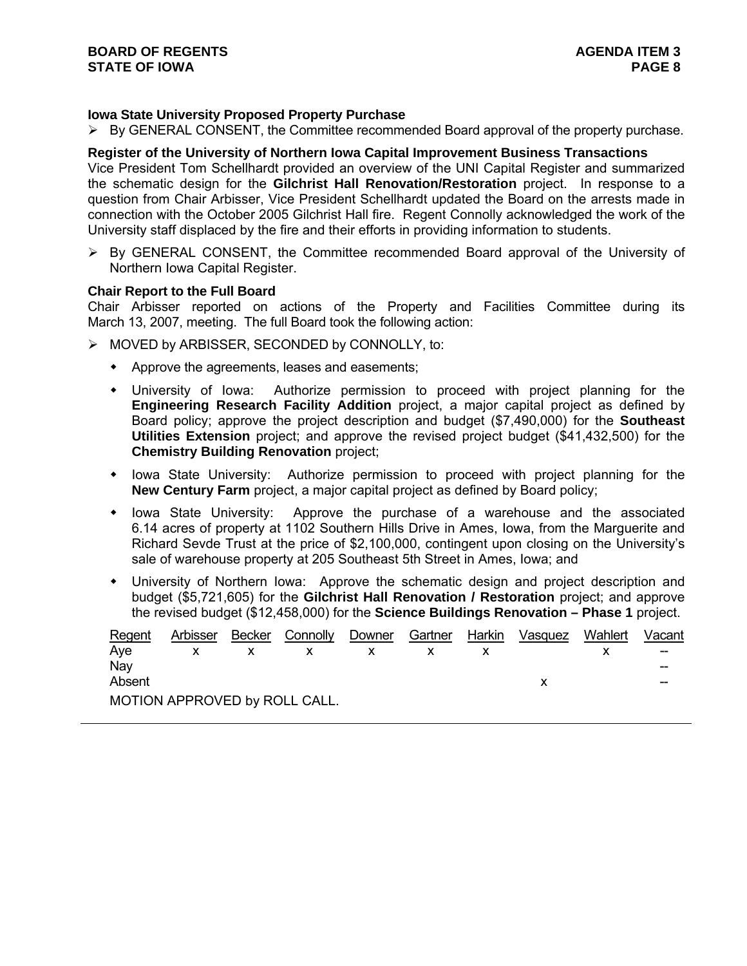## **Iowa State University Proposed Property Purchase**

 $\triangleright$  By GENERAL CONSENT, the Committee recommended Board approval of the property purchase.

### **Register of the University of Northern Iowa Capital Improvement Business Transactions**

Vice President Tom Schellhardt provided an overview of the UNI Capital Register and summarized the schematic design for the **Gilchrist Hall Renovation/Restoration** project. In response to a question from Chair Arbisser, Vice President Schellhardt updated the Board on the arrests made in connection with the October 2005 Gilchrist Hall fire. Regent Connolly acknowledged the work of the University staff displaced by the fire and their efforts in providing information to students.

 $\triangleright$  By GENERAL CONSENT, the Committee recommended Board approval of the University of Northern Iowa Capital Register.

#### **Chair Report to the Full Board**

Chair Arbisser reported on actions of the Property and Facilities Committee during its March 13, 2007, meeting. The full Board took the following action:

- ¾ MOVED by ARBISSER, SECONDED by CONNOLLY, to:
	- Approve the agreements, leases and easements;
	- University of Iowa: Authorize permission to proceed with project planning for the **Engineering Research Facility Addition** project, a major capital project as defined by Board policy; approve the project description and budget (\$7,490,000) for the **Southeast Utilities Extension** project; and approve the revised project budget (\$41,432,500) for the **Chemistry Building Renovation** project;
	- Iowa State University: Authorize permission to proceed with project planning for the **New Century Farm** project, a major capital project as defined by Board policy;
	- Iowa State University: Approve the purchase of a warehouse and the associated 6.14 acres of property at 1102 Southern Hills Drive in Ames, Iowa, from the Marguerite and Richard Sevde Trust at the price of \$2,100,000, contingent upon closing on the University's sale of warehouse property at 205 Southeast 5th Street in Ames, Iowa; and
	- University of Northern Iowa: Approve the schematic design and project description and budget (\$5,721,605) for the **Gilchrist Hall Renovation / Restoration** project; and approve the revised budget (\$12,458,000) for the **Science Buildings Renovation – Phase 1** project.

| Regent | Arbisser | Becker | Connolly                      | Downer | Gartner | Harkin | Vasquez | Wahlert | Vacant |
|--------|----------|--------|-------------------------------|--------|---------|--------|---------|---------|--------|
| Ave    |          |        |                               |        |         |        |         |         | $- -$  |
| Nav    |          |        |                               |        |         |        |         |         | --     |
| Absent |          |        |                               |        |         |        |         |         | --     |
|        |          |        | MOTION APPROVED by ROLL CALL. |        |         |        |         |         |        |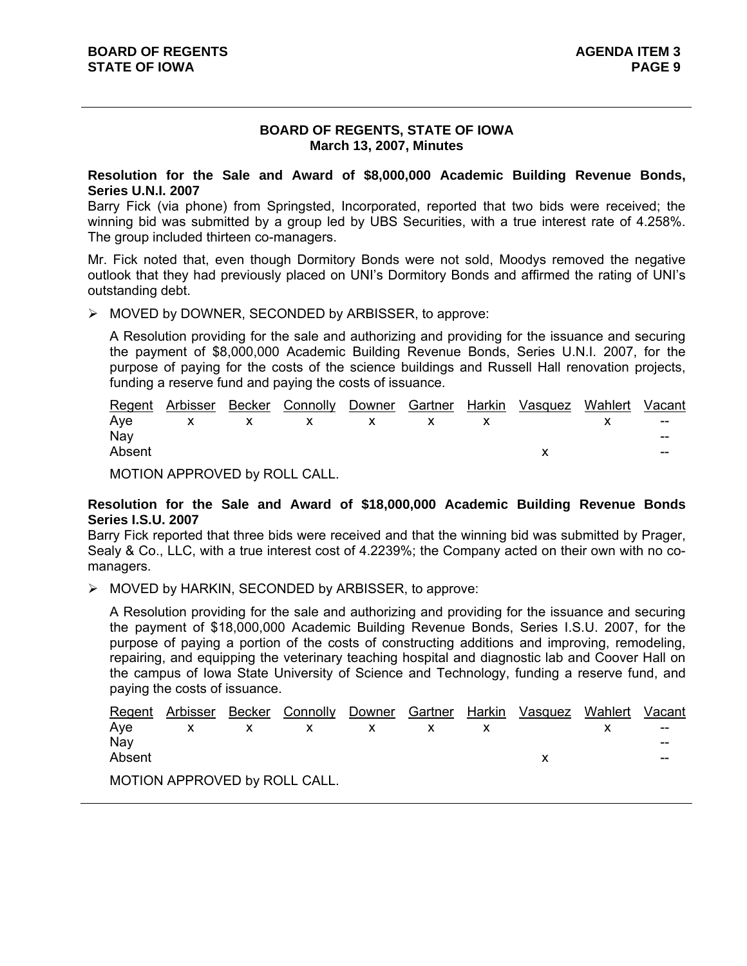## **BOARD OF REGENTS, STATE OF IOWA March 13, 2007, Minutes**

#### **Resolution for the Sale and Award of \$8,000,000 Academic Building Revenue Bonds, Series U.N.I. 2007**

Barry Fick (via phone) from Springsted, Incorporated, reported that two bids were received; the winning bid was submitted by a group led by UBS Securities, with a true interest rate of 4.258%. The group included thirteen co-managers.

Mr. Fick noted that, even though Dormitory Bonds were not sold, Moodys removed the negative outlook that they had previously placed on UNI's Dormitory Bonds and affirmed the rating of UNI's outstanding debt.

¾ MOVED by DOWNER, SECONDED by ARBISSER, to approve:

A Resolution providing for the sale and authorizing and providing for the issuance and securing the payment of \$8,000,000 Academic Building Revenue Bonds, Series U.N.I. 2007, for the purpose of paying for the costs of the science buildings and Russell Hall renovation projects, funding a reserve fund and paying the costs of issuance.

|        |  | Regent Arbisser Becker Connolly Downer Gartner Harkin Vasquez Wahlert Vacant |  |  |                          |
|--------|--|------------------------------------------------------------------------------|--|--|--------------------------|
|        |  | Aye x $x$ x $x$ x $x$ x $x$ $x$ $x$                                          |  |  |                          |
| Nay    |  |                                                                              |  |  | $- -$                    |
| Absent |  |                                                                              |  |  | $\overline{\phantom{a}}$ |
|        |  |                                                                              |  |  |                          |

MOTION APPROVED by ROLL CALL.

### **Resolution for the Sale and Award of \$18,000,000 Academic Building Revenue Bonds Series I.S.U. 2007**

Barry Fick reported that three bids were received and that the winning bid was submitted by Prager, Sealy & Co., LLC, with a true interest cost of 4.2239%; the Company acted on their own with no comanagers.

 $\triangleright$  MOVED by HARKIN, SECONDED by ARBISSER, to approve:

A Resolution providing for the sale and authorizing and providing for the issuance and securing the payment of \$18,000,000 Academic Building Revenue Bonds, Series I.S.U. 2007, for the purpose of paying a portion of the costs of constructing additions and improving, remodeling, repairing, and equipping the veterinary teaching hospital and diagnostic lab and Coover Hall on the campus of Iowa State University of Science and Technology, funding a reserve fund, and paying the costs of issuance.

| Regent | Arbisser | Becker Connolly Downer Gartner Harkin Vasquez Wahlert |  |  | Vacant |
|--------|----------|-------------------------------------------------------|--|--|--------|
| Ave    |          |                                                       |  |  | $-$    |
| Nav    |          |                                                       |  |  | $- -$  |
| Absent |          |                                                       |  |  | $- -$  |
|        |          | MOTION APPROVED by ROLL CALL.                         |  |  |        |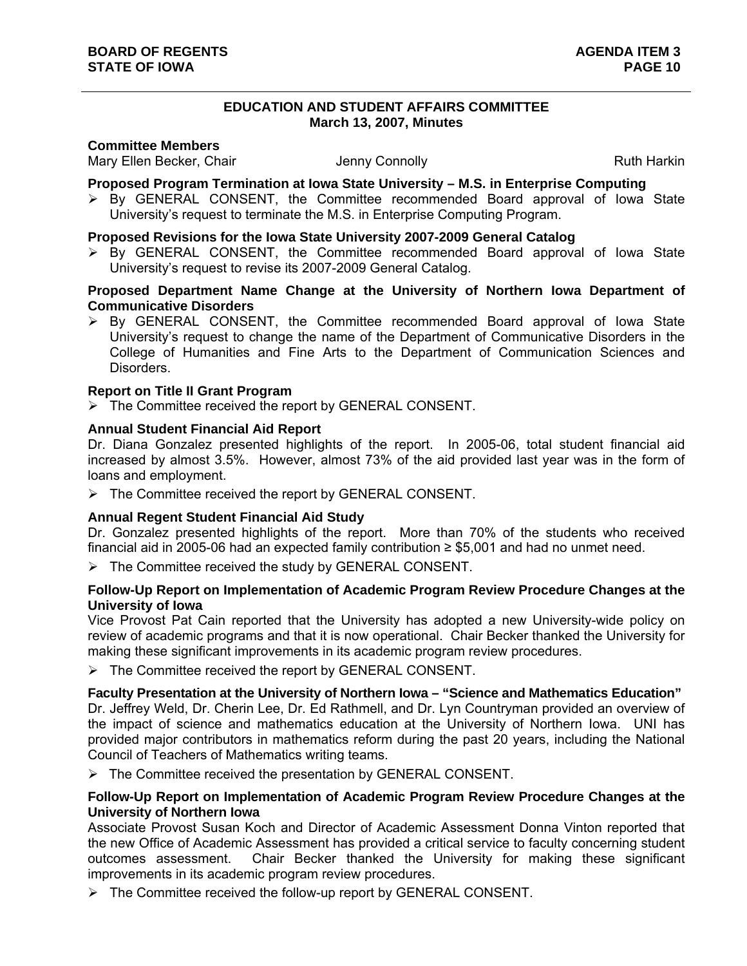### **EDUCATION AND STUDENT AFFAIRS COMMITTEE March 13, 2007, Minutes**

#### **Committee Members**

Mary Ellen Becker, Chair **Mary Ellen Becker, Chair** Jenny Connolly **Ruth Harkin** 

#### **Proposed Program Termination at Iowa State University – M.S. in Enterprise Computing**

 $\triangleright$  By GENERAL CONSENT, the Committee recommended Board approval of Iowa State University's request to terminate the M.S. in Enterprise Computing Program.

# **Proposed Revisions for the Iowa State University 2007-2009 General Catalog**

 $\triangleright$  By GENERAL CONSENT, the Committee recommended Board approval of Iowa State University's request to revise its 2007-2009 General Catalog.

## **Proposed Department Name Change at the University of Northern Iowa Department of Communicative Disorders**

¾ By GENERAL CONSENT, the Committee recommended Board approval of Iowa State University's request to change the name of the Department of Communicative Disorders in the College of Humanities and Fine Arts to the Department of Communication Sciences and Disorders.

## **Report on Title II Grant Program**

 $\triangleright$  The Committee received the report by GENERAL CONSENT.

## **Annual Student Financial Aid Report**

Dr. Diana Gonzalez presented highlights of the report. In 2005-06, total student financial aid increased by almost 3.5%. However, almost 73% of the aid provided last year was in the form of loans and employment.

 $\triangleright$  The Committee received the report by GENERAL CONSENT.

### **Annual Regent Student Financial Aid Study**

Dr. Gonzalez presented highlights of the report. More than 70% of the students who received financial aid in 2005-06 had an expected family contribution  $\geq$  \$5,001 and had no unmet need.

 $\triangleright$  The Committee received the study by GENERAL CONSENT.

### **Follow-Up Report on Implementation of Academic Program Review Procedure Changes at the University of Iowa**

Vice Provost Pat Cain reported that the University has adopted a new University-wide policy on review of academic programs and that it is now operational. Chair Becker thanked the University for making these significant improvements in its academic program review procedures.

 $\triangleright$  The Committee received the report by GENERAL CONSENT.

### **Faculty Presentation at the University of Northern Iowa – "Science and Mathematics Education"**

Dr. Jeffrey Weld, Dr. Cherin Lee, Dr. Ed Rathmell, and Dr. Lyn Countryman provided an overview of the impact of science and mathematics education at the University of Northern Iowa. UNI has provided major contributors in mathematics reform during the past 20 years, including the National Council of Teachers of Mathematics writing teams.

 $\triangleright$  The Committee received the presentation by GENERAL CONSENT.

## **Follow-Up Report on Implementation of Academic Program Review Procedure Changes at the University of Northern Iowa**

Associate Provost Susan Koch and Director of Academic Assessment Donna Vinton reported that the new Office of Academic Assessment has provided a critical service to faculty concerning student outcomes assessment. Chair Becker thanked the University for making these significant improvements in its academic program review procedures.

 $\triangleright$  The Committee received the follow-up report by GENERAL CONSENT.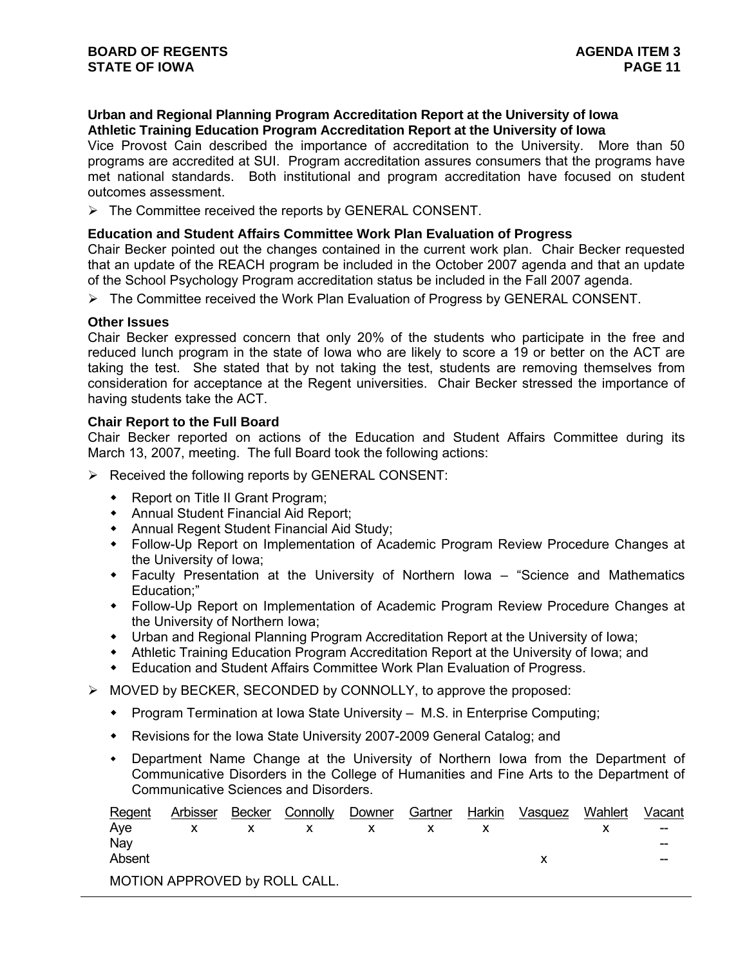## **Urban and Regional Planning Program Accreditation Report at the University of Iowa Athletic Training Education Program Accreditation Report at the University of Iowa**

Vice Provost Cain described the importance of accreditation to the University. More than 50 programs are accredited at SUI. Program accreditation assures consumers that the programs have met national standards. Both institutional and program accreditation have focused on student outcomes assessment.

 $\triangleright$  The Committee received the reports by GENERAL CONSENT.

#### **Education and Student Affairs Committee Work Plan Evaluation of Progress**

Chair Becker pointed out the changes contained in the current work plan. Chair Becker requested that an update of the REACH program be included in the October 2007 agenda and that an update of the School Psychology Program accreditation status be included in the Fall 2007 agenda.

¾ The Committee received the Work Plan Evaluation of Progress by GENERAL CONSENT.

#### **Other Issues**

Chair Becker expressed concern that only 20% of the students who participate in the free and reduced lunch program in the state of Iowa who are likely to score a 19 or better on the ACT are taking the test. She stated that by not taking the test, students are removing themselves from consideration for acceptance at the Regent universities. Chair Becker stressed the importance of having students take the ACT.

#### **Chair Report to the Full Board**

Chair Becker reported on actions of the Education and Student Affairs Committee during its March 13, 2007, meeting. The full Board took the following actions:

- $\triangleright$  Received the following reports by GENERAL CONSENT:
	- Report on Title II Grant Program;
	- Annual Student Financial Aid Report;
	- Annual Regent Student Financial Aid Study;
	- Follow-Up Report on Implementation of Academic Program Review Procedure Changes at the University of Iowa;
	- Faculty Presentation at the University of Northern Iowa "Science and Mathematics Education;"
	- Follow-Up Report on Implementation of Academic Program Review Procedure Changes at the University of Northern Iowa;
	- Urban and Regional Planning Program Accreditation Report at the University of Iowa;
	- Athletic Training Education Program Accreditation Report at the University of Iowa; and
	- Education and Student Affairs Committee Work Plan Evaluation of Progress.
- $\triangleright$  MOVED by BECKER, SECONDED by CONNOLLY, to approve the proposed:
	- Program Termination at Iowa State University M.S. in Enterprise Computing;
	- Revisions for the Iowa State University 2007-2009 General Catalog; and
	- Department Name Change at the University of Northern Iowa from the Department of Communicative Disorders in the College of Humanities and Fine Arts to the Department of Communicative Sciences and Disorders.

| Regent | Arbisser | Becker | Connolly                      | Downer | Gartner | Harkin | Vasquez | Wahlert | Vacant |
|--------|----------|--------|-------------------------------|--------|---------|--------|---------|---------|--------|
| Ave    |          |        |                               |        |         |        |         |         | --     |
| Nav    |          |        |                               |        |         |        |         |         | --     |
| Absent |          |        |                               |        |         |        |         |         | --     |
|        |          |        | MOTION APPROVED by ROLL CALL. |        |         |        |         |         |        |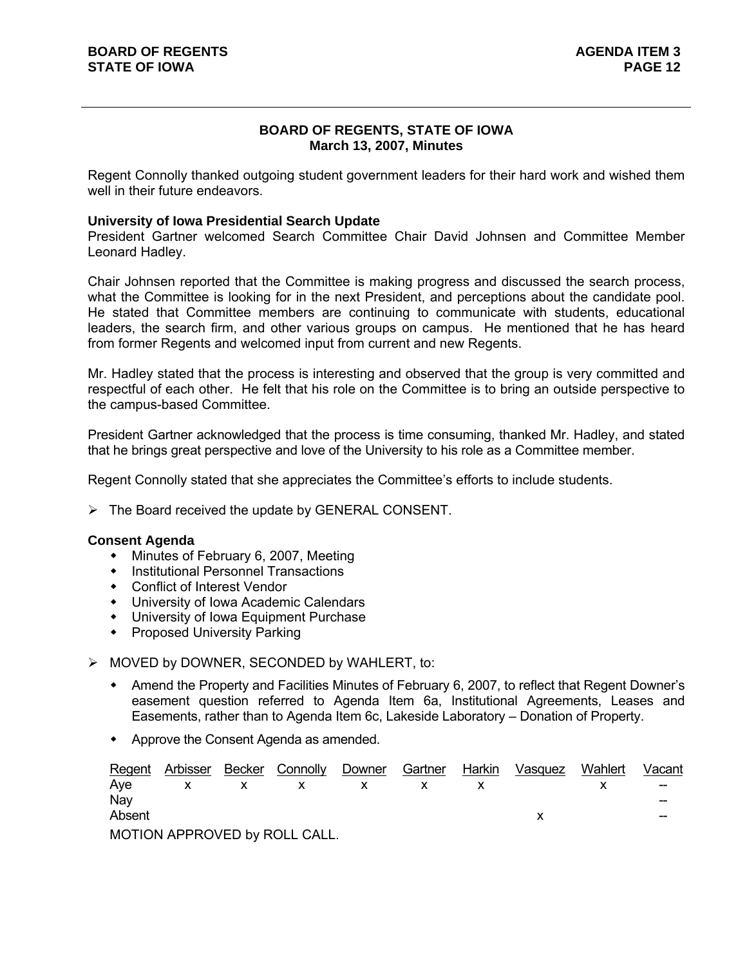## **BOARD OF REGENTS, STATE OF IOWA March 13, 2007, Minutes**

Regent Connolly thanked outgoing student government leaders for their hard work and wished them well in their future endeavors.

#### **University of Iowa Presidential Search Update**

President Gartner welcomed Search Committee Chair David Johnsen and Committee Member Leonard Hadley.

Chair Johnsen reported that the Committee is making progress and discussed the search process, what the Committee is looking for in the next President, and perceptions about the candidate pool. He stated that Committee members are continuing to communicate with students, educational leaders, the search firm, and other various groups on campus. He mentioned that he has heard from former Regents and welcomed input from current and new Regents.

Mr. Hadley stated that the process is interesting and observed that the group is very committed and respectful of each other. He felt that his role on the Committee is to bring an outside perspective to the campus-based Committee.

President Gartner acknowledged that the process is time consuming, thanked Mr. Hadley, and stated that he brings great perspective and love of the University to his role as a Committee member.

Regent Connolly stated that she appreciates the Committee's efforts to include students.

 $\triangleright$  The Board received the update by GENERAL CONSENT.

#### **Consent Agenda**

- Minutes of February 6, 2007, Meeting
- **•** Institutional Personnel Transactions
- Conflict of Interest Vendor
- University of Iowa Academic Calendars
- University of Iowa Equipment Purchase
- **•** Proposed University Parking

#### $\triangleright$  MOVED by DOWNER, SECONDED by WAHLERT, to:

- Amend the Property and Facilities Minutes of February 6, 2007, to reflect that Regent Downer's easement question referred to Agenda Item 6a, Institutional Agreements, Leases and Easements, rather than to Agenda Item 6c, Lakeside Laboratory – Donation of Property.
- Approve the Consent Agenda as amended.

| Regent | Arbisser | Becker | Connolly                      | Downer | Gartner | Harkin | Vasquez | Wahlert | Vacant |
|--------|----------|--------|-------------------------------|--------|---------|--------|---------|---------|--------|
| Ave    |          |        |                               |        |         |        |         |         | $- -$  |
| Nav    |          |        |                               |        |         |        |         |         | --     |
| Absent |          |        |                               |        |         |        |         |         | --     |
|        |          |        | MOTION APPROVED by ROLL CALL. |        |         |        |         |         |        |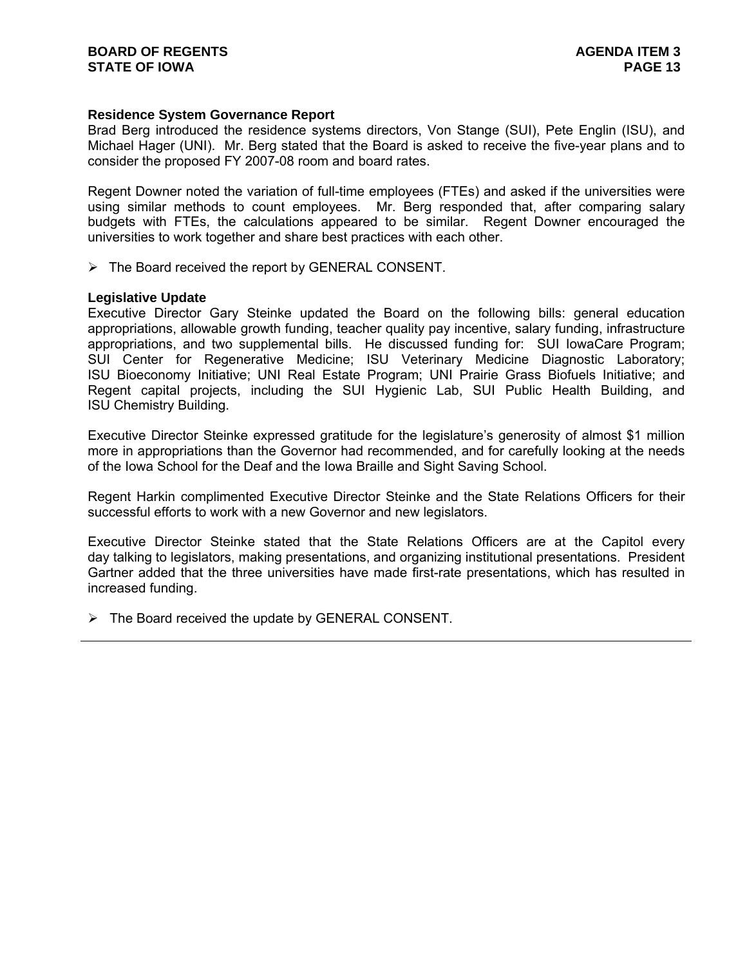## **Residence System Governance Report**

Brad Berg introduced the residence systems directors, Von Stange (SUI), Pete Englin (ISU), and Michael Hager (UNI). Mr. Berg stated that the Board is asked to receive the five-year plans and to consider the proposed FY 2007-08 room and board rates.

Regent Downer noted the variation of full-time employees (FTEs) and asked if the universities were using similar methods to count employees. Mr. Berg responded that, after comparing salary budgets with FTEs, the calculations appeared to be similar. Regent Downer encouraged the universities to work together and share best practices with each other.

 $\triangleright$  The Board received the report by GENERAL CONSENT.

### **Legislative Update**

Executive Director Gary Steinke updated the Board on the following bills: general education appropriations, allowable growth funding, teacher quality pay incentive, salary funding, infrastructure appropriations, and two supplemental bills. He discussed funding for: SUI IowaCare Program; SUI Center for Regenerative Medicine; ISU Veterinary Medicine Diagnostic Laboratory; ISU Bioeconomy Initiative; UNI Real Estate Program; UNI Prairie Grass Biofuels Initiative; and Regent capital projects, including the SUI Hygienic Lab, SUI Public Health Building, and ISU Chemistry Building.

Executive Director Steinke expressed gratitude for the legislature's generosity of almost \$1 million more in appropriations than the Governor had recommended, and for carefully looking at the needs of the Iowa School for the Deaf and the Iowa Braille and Sight Saving School.

Regent Harkin complimented Executive Director Steinke and the State Relations Officers for their successful efforts to work with a new Governor and new legislators.

Executive Director Steinke stated that the State Relations Officers are at the Capitol every day talking to legislators, making presentations, and organizing institutional presentations. President Gartner added that the three universities have made first-rate presentations, which has resulted in increased funding.

 $\triangleright$  The Board received the update by GENERAL CONSENT.